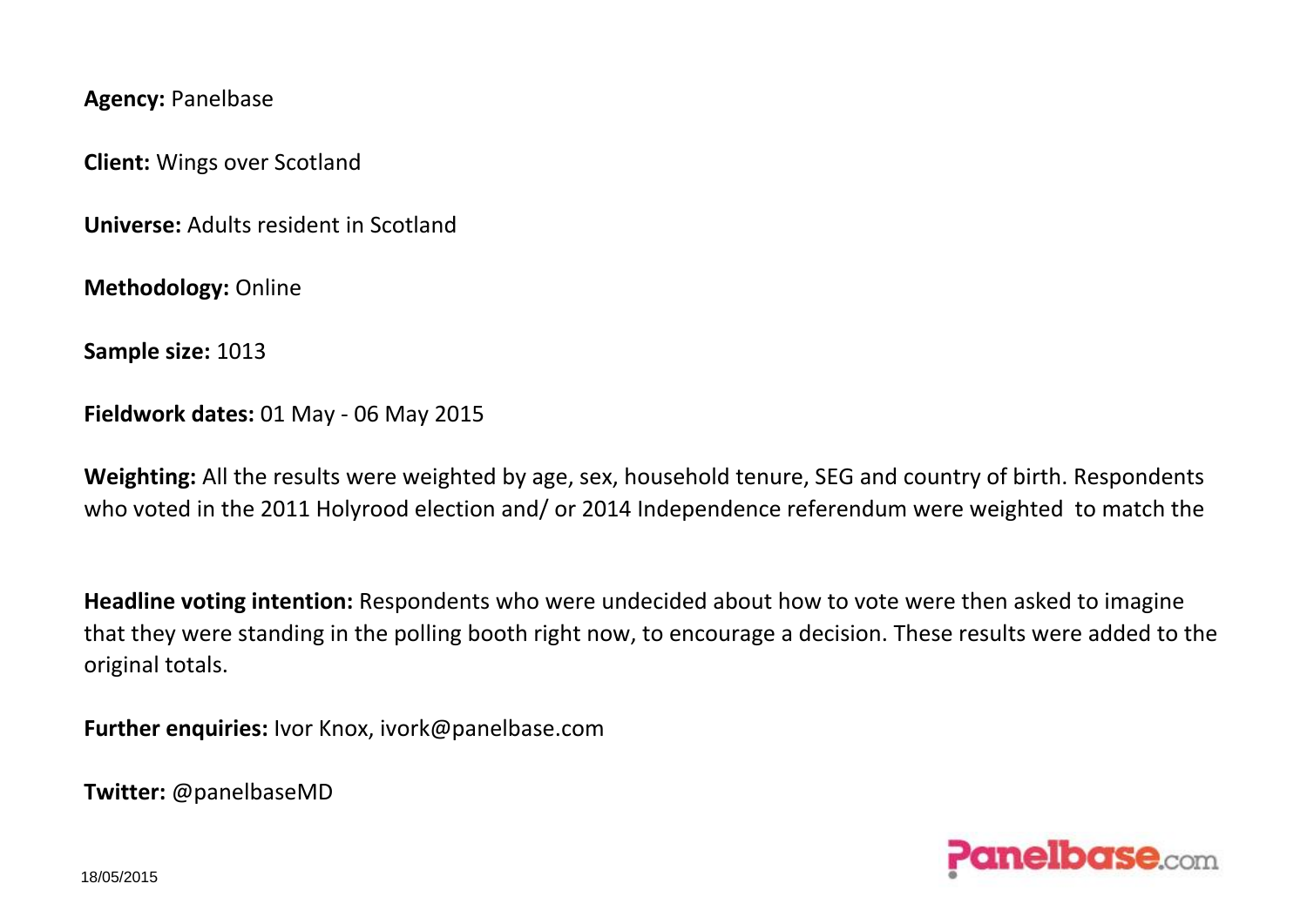**Agency:** Panelbase

**Client:** Wings over Scotland

**Universe:** Adults resident in Scotland

**Methodology:** Online

**Sample size:** 1013

**Fieldwork dates:** 01 May - 06 May 2015

**Weighting:** All the results were weighted by age, sex, household tenure, SEG and country of birth. Respondents who voted in the 2011 Holyrood election and/ or 2014 Independence referendum were weighted to match the

**Headline voting intention:** Respondents who were undecided about how to vote were then asked to imagine that they were standing in the polling booth right now, to encourage a decision. These results were added to the original totals.

**Further enquiries:** Ivor Knox, ivork@panelbase.com

**Twitter:** @panelbaseMD

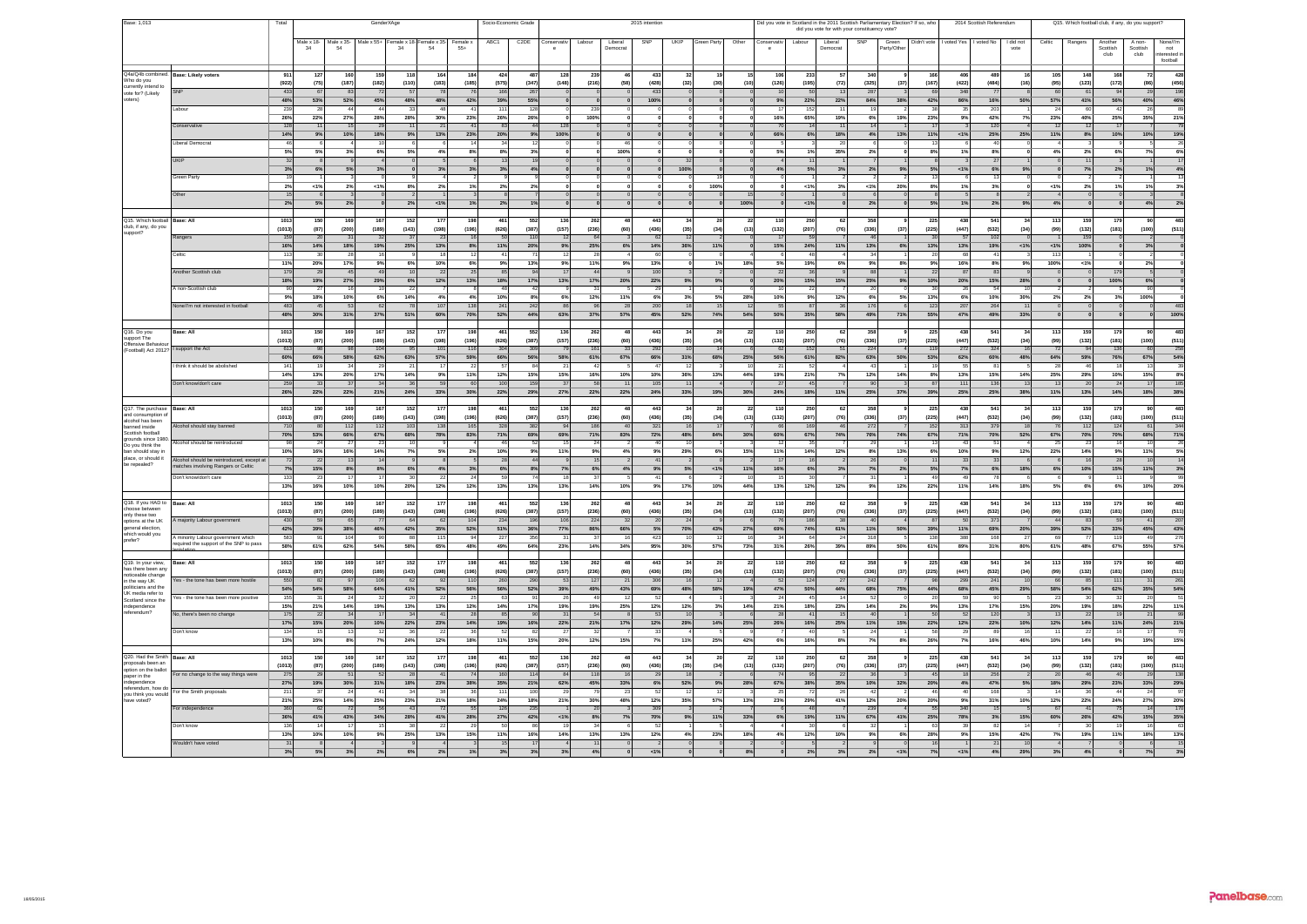| Base: 1,013                               |                                           | Total          |                       |                                               | GenderXAge     |                |                        |                 | Socio-Economic Grade |                   |                |              |                | 2015 intention        |              |             |                      | Did you vote in Scotland in the 2011 Scottish Parliamentary Election? If so, who |                                               |                       |                     |              | 2014 Scottish Referendum |                      |                          |                 | Q15. Which football club, if any, do you support? |              |                 |                       |
|-------------------------------------------|-------------------------------------------|----------------|-----------------------|-----------------------------------------------|----------------|----------------|------------------------|-----------------|----------------------|-------------------|----------------|--------------|----------------|-----------------------|--------------|-------------|----------------------|----------------------------------------------------------------------------------|-----------------------------------------------|-----------------------|---------------------|--------------|--------------------------|----------------------|--------------------------|-----------------|---------------------------------------------------|--------------|-----------------|-----------------------|
|                                           |                                           |                |                       |                                               |                |                |                        |                 |                      |                   |                |              |                |                       |              |             |                      |                                                                                  | did you vote for with your constituency vote? |                       |                     |              |                          |                      |                          |                 |                                                   |              |                 |                       |
|                                           |                                           |                |                       | Male x 18- Male x 35- Male x 55+ Female x 18- |                |                | emale x 35-            |                 | ABC1                 | C <sub>2</sub> DE | Conservativ    | Labour       | Liberal        | SNP                   | <b>UKIP</b>  | Green Party | Other<br>Conservativ | Labour                                                                           | Liberal                                       | SNP                   |                     | Didn't vote  |                          | voted Yes I voted No | I did not                | Celtic          | Ranger                                            | Another      | A non-          |                       |
|                                           |                                           |                | 34                    |                                               |                | 34             | 54                     | Female x<br>55+ |                      |                   |                |              | Democrat       |                       |              |             |                      |                                                                                  | Democrat                                      |                       | Green<br>Party/Othe |              |                          |                      | vote                     |                 |                                                   | Scottish     | Scottish        | None/l'm<br>not       |
|                                           |                                           |                |                       |                                               |                |                |                        |                 |                      |                   |                |              |                |                       |              |             |                      |                                                                                  |                                               |                       |                     |              |                          |                      |                          |                 |                                                   | club         | club            | erested i<br>football |
|                                           |                                           |                |                       |                                               |                |                |                        |                 |                      |                   |                |              |                |                       |              |             |                      |                                                                                  |                                               |                       |                     |              |                          |                      |                          |                 |                                                   |              |                 |                       |
| Q4a/Q4b combined.                         | <b>Base: Likely voters</b>                | 911            | 127                   | 16                                            | 159            |                | 164                    | 184             | 424                  | 487               | 128            | 239          |                | 433                   |              |             |                      | 10<br>233                                                                        |                                               | 34                    |                     | 16           | 406                      | 489                  |                          | 10              | 148                                               | 168          |                 | 428                   |
| Who do you<br>currently intend to         |                                           | (922)          | (75)                  | (187)                                         | (182)          | (110)          | (183)                  | (185)           | (575)                | (347)             | (148)          | (216)        | (58)           | (428)                 | (32)         | (30)        | (10)                 | (126)<br>(195)                                                                   | (72)                                          | (325)                 | (37)                | (167)        | (422)                    | (484)                | (16)                     | (95             | (123)                                             | (172)        | (86             | $(456)$<br>196        |
| vote for? (Likely                         |                                           | 433            | 67                    | 83                                            | 72             |                |                        | 76              | 166                  | 267               |                |              |                | 433                   |              |             |                      | 50                                                                               |                                               | 287                   |                     | 69           | 348                      | 77                   |                          |                 | 61                                                | 94           | 29              |                       |
| roters)                                   |                                           | 48%            | 53%                   | 52%                                           | 45%            | 48%            | 48%                    | 42%             | 39%                  | 55%               |                |              |                | 100%                  |              |             |                      | 22%<br>9%                                                                        | 22%                                           | 84%                   | 38%                 | 42%          | 86%                      | 16%                  | 50%                      | 57%             | 41%                                               | 56%          | 40%             | 46%<br>89             |
|                                           | abou                                      | 239            |                       |                                               | $\overline{a}$ |                |                        |                 |                      | 128               |                | 239          |                |                       |              |             |                      | 152                                                                              |                                               |                       |                     |              |                          | 203                  |                          |                 | 60                                                |              |                 |                       |
|                                           |                                           | 26%            | 22%                   | 27%                                           | 28%            | 28%            | 30%                    | 23%             | 26%                  | 26%               |                | 100%         |                |                       |              |             |                      | 16%<br>65%                                                                       | 195                                           | 6%                    | 19%                 | 23%          | 9%                       | 42%                  | 7%                       | 23 <sup>c</sup> | 40%                                               | 25%          | 35%             | $\frac{21\%}{79}$     |
|                                           | Conservativ                               | 128<br>14%     |                       |                                               | 29             |                | 2 <sup>1</sup>         | 41              | 83                   |                   |                |              |                |                       |              |             |                      |                                                                                  | 14                                            |                       |                     |              |                          | 120                  |                          |                 |                                                   | 17           |                 |                       |
|                                           | Liberal Democra                           |                | 9%                    | 10%                                           | 18%            | 9%             | 13%                    | 23%             | 20%                  | 9%                | 100%           |              |                |                       |              |             |                      | 66%                                                                              | 6%<br>18%                                     | 4%                    | 13%                 | 11%          | 1%                       | 25%                  | 25%                      | 11 <sup>°</sup> | 8%                                                | 10%          | 10%             | $\frac{19\%}{26}$     |
|                                           |                                           | 5%             | 5%                    | 3%                                            | 6%             | 5%             | 4%                     | 8%              | 8%                   | 3%                |                |              | 100%           |                       |              |             |                      | 5%<br>1%                                                                         | 35%                                           | 2 <sup>0</sup>        |                     | 8%           | 1%                       | 8%                   |                          | $\mathbf{A}^c$  | 2%                                                | 6%           | 75              | 6%                    |
|                                           | <b>UKIP</b>                               | 32             |                       |                                               |                |                |                        |                 | 13                   |                   |                |              |                |                       |              |             |                      |                                                                                  | 11                                            |                       |                     |              |                          | 27                   |                          |                 |                                                   |              |                 | 17                    |
|                                           |                                           | 3%             | 6%                    | 5%                                            | 3%             |                | 3%                     | 3%              | 3%                   | 4%                |                |              |                |                       | 100%         |             |                      | 5%<br>4%                                                                         | 3 <sup>5</sup>                                | 2%                    | 9%                  | 5%           | 1%                       | 6%                   | 9%                       |                 | 7%                                                | 2%           |                 |                       |
|                                           | Green Party                               |                |                       |                                               |                |                |                        |                 |                      |                   |                |              |                |                       |              |             |                      |                                                                                  |                                               |                       |                     |              |                          |                      |                          |                 |                                                   |              |                 | $\frac{4\%}{13}$      |
|                                           |                                           | 2%             | <1%                   | 2%                                            | $-15$          | R <sup>0</sup> | 2%                     | 1%              | 2%                   | 2%                |                |              |                |                       |              | 100%        |                      | $-1%$                                                                            | -33                                           | $\leq 1$ <sup>o</sup> | 20%                 | 8%           | 1%                       | 3%                   |                          | <1              | 2%                                                | 1%           | 13              | 3%                    |
|                                           | Other                                     |                |                       |                                               |                |                |                        |                 |                      |                   |                |              |                |                       |              |             |                      |                                                                                  |                                               |                       |                     |              |                          |                      |                          |                 |                                                   |              |                 |                       |
|                                           |                                           | 2%             | 5%                    | 2%                                            |                | 2%             | 1%                     | 1%              | 2%                   | 1%                |                |              |                |                       |              |             | 100%                 | 1%                                                                               |                                               | 2 <sup>9</sup>        |                     | 5%           | 1%                       | 2%                   | 9%                       | $\mathbf{A}$    |                                                   |              | 4 <sup>9</sup>  | $2\%$                 |
|                                           |                                           |                |                       |                                               |                |                |                        |                 |                      |                   |                |              |                |                       |              |             |                      |                                                                                  |                                               |                       |                     |              |                          |                      |                          |                 |                                                   |              |                 |                       |
| Q15. Which football                       | Base: Al                                  | 1013           | 150                   | 169                                           | 167            | 152            | $\overline{17}$        | 198             | 46                   | 552               | 136            | 262          |                | 443                   |              |             | $\overline{2}$       | 250<br>110                                                                       |                                               | 35                    |                     | 225          | 438                      | 541                  |                          | 11              | 159                                               | 179          |                 | 483                   |
| club, if any, do you<br>support?          |                                           | (1013)         | (87)                  | (200)                                         | (189)          | (143)          | (198)                  | (196)           | (626)                | (387)             | (157)          | (236)        | (60)           | (436)                 | (35)         | (34)        | (13)                 | (132)<br>(207)                                                                   | (76)                                          | (336)                 | (37)                | (225)        | (447)                    | (532)                | (34)                     | (99)            | (132)                                             | (181)        | (100)           | (511)                 |
|                                           | Rangers                                   | 159            | 20                    |                                               |                |                | $\overline{2}$         |                 |                      | 11                |                |              |                | 62                    |              |             |                      | 59                                                                               |                                               |                       |                     | 3C           |                          | 102                  |                          |                 |                                                   |              |                 |                       |
|                                           |                                           | 16%            | 14%                   | 18%                                           | 19%            | 25%            | 13%                    | 8%              | 11%                  | 20%               | 9%             | 25%          | 6%             | 14%                   | 365          | 11%         |                      | 15%<br>24%                                                                       | 11%                                           | 13%                   |                     | 13%          | 139                      | 19%                  | <1%                      | $\leq 1$        | 100%                                              |              |                 |                       |
|                                           | Celtic                                    | 113<br>11%     | 30                    | 28                                            |                |                |                        | 12              | 41                   |                   |                | 28           |                | 60                    |              |             |                      |                                                                                  | 48                                            |                       |                     | 20           | 68                       | 41                   |                          |                 |                                                   |              |                 |                       |
|                                           | Another Scottish club                     | 179            | 20%                   | 17%                                           | 9%             | 6%             | 10%<br>$\overline{22}$ | 6%              | 9%                   | 13%               | 9%             | 11%          | 9%             | 13%<br>10             |              | 1%          | 18%                  | 5%<br>19%                                                                        | 6%                                            | 9%                    | 8%                  | 9%           | 16%                      | 8%                   | 9%                       | 100             | 21%                                               |              | 2%              |                       |
|                                           |                                           | 18%            | $\overline{2}$<br>19% | 27%                                           | 29%            | 6%             | 12%                    | 25<br>13%       | 85<br>18%            | 17%               | 13%            | 17%          | 20%            | 22%                   | 9%           | 9%          |                      | 36<br>20%<br>15%                                                                 | 15%                                           | 25%                   |                     | 22<br>10%    | 8<br>20%                 | 83                   | 28%                      |                 |                                                   | 100%         | 6%              |                       |
|                                           | A non-Scottish club                       |                | $\overline{2}$        |                                               |                | 22             |                        |                 |                      |                   |                | 31           |                | 29                    |              |             |                      |                                                                                  | 22                                            |                       | 9%                  | 30           |                          | 15%<br>54            |                          |                 |                                                   |              |                 |                       |
|                                           |                                           | 9%             | 18%                   | 10%                                           | 6%             | 14%            | 4%                     | 4%              | 10%                  | 8%                | 6%             | 12%          | 11%            | 6%                    | 3%           | 5%          | 28%                  | 10%                                                                              | 9%<br>12%                                     | 6%                    | 5%                  | 13%          | 6%                       | 10%                  | 30%                      | 2 <sup>9</sup>  | 2%                                                | 3%           | 100%            |                       |
|                                           | None/I'm not interested in football       | 483            |                       |                                               | 62             |                | 10 <sub>i</sub>        | 135             | 241                  | 242               | $\overline{8}$ |              | $\overline{2}$ | 20                    |              |             |                      | 87                                                                               |                                               |                       |                     | 123          | 207                      | 264                  |                          |                 |                                                   |              |                 | 483                   |
|                                           |                                           | 48%            | 30%                   | 31%                                           | 37%            | 51%            | 60%                    | 70%             | 52%                  | 44%               | 63%            | 37%          | 57%            | 45%                   | 52%          | 74%         | 54%                  | 50%<br>35%                                                                       | 58                                            | 49%                   | 71%                 | 55%          | 47%                      | 49%                  | 33%                      |                 |                                                   |              |                 | 100%                  |
|                                           |                                           |                |                       |                                               |                |                |                        |                 |                      |                   |                |              |                |                       |              |             |                      |                                                                                  |                                               |                       |                     |              |                          |                      |                          |                 |                                                   |              |                 |                       |
| Q16. Do you                               | Base: All                                 | 1013           | 150                   | 169                                           | 167            | 152            | 177                    | 198             | 461                  | 552               | 136            | 262          | A5             | 443                   |              |             | $\overline{2}$       | 110<br>250                                                                       | 63                                            | 35                    |                     | 225          | 438                      | 541                  | പ                        | 11              | 159                                               | 179          |                 | 483                   |
| upport The<br>Offensive Behavio           |                                           | (1013)         | (87)                  | (200)                                         | (189)          | (143)          | (198)                  | (196)           | (626)                | (387)             | (157)          | (236)        | (60)           | (436)                 | (35)         | (34)        | (13)                 | (207)<br>(132)                                                                   | (76)                                          | (336)                 | (37)                | (225)        | (447)                    | (532)                | (34)                     | (99)            | (132)                                             | (181)        | (100)           | (511)                 |
| Football) Act 2012? I support the Act     |                                           | 613            |                       |                                               | 104            |                | 10                     | 116             | 304                  | 309               |                | 161          | -32            | 292                   |              |             |                      | 152<br>-62                                                                       |                                               | 224                   |                     | 119          | 272                      | 324                  |                          |                 |                                                   | 136          |                 | 258                   |
|                                           |                                           | 60%            | 66%                   | 58%                                           | 62%            | 63%            | 57%                    | 59%             | 66%                  | 56%               | 58%            | 61%          | 67%            | 66%                   | 31%          | 68%         | 25%                  | 56%<br>61%                                                                       | 82%                                           | 63%                   | 50%                 | 53%          | 62%                      | 60%                  | 48%                      | 64              | 59%                                               | 76%          | 675             | $\frac{54\%}{39}$     |
|                                           | I think it should be abolished            | 141            |                       | 34                                            | 29             | 21             |                        | 22              | 57                   |                   | 21             | 42           |                | 47                    |              |             |                      |                                                                                  | 52                                            |                       |                     | -19          | 55                       | 81                   |                          |                 | 46                                                | 18           |                 |                       |
|                                           |                                           | 14%            | 13%                   | 20%                                           | 17%            | 14%            | 9%                     | 11%             | 12%                  | 15%               | 15%            | 16%          | 10%            | 10%                   | 36%          | 13%         | 44%                  | 19%<br>21%                                                                       | 75                                            | 12%                   | 14%                 | 8%           | 13%                      | 15%                  | 14%                      | $25^{\circ}$    | 29%                                               | 10%          | 15%             | $8%$<br>185           |
|                                           | Don't know/don't care                     | 259            | 33                    | 37                                            | 34             | 36             | 59                     | 60              | 100                  | 155               | 37             | 58           |                | 10 <sub>1</sub>       |              |             |                      | 45                                                                               |                                               |                       |                     | 87           | 11                       | 136                  |                          |                 | 20                                                | 24           |                 |                       |
|                                           |                                           | 26%            | 22%                   | 22%                                           | 21%            | 24%            | 33%                    | 30%             | 22%                  | 29%               | 27%            | 22%          | 22%            | 24%                   | 33%          | 19%         | 30%                  | 24%<br>18%                                                                       | 11%                                           | 25%                   | 37%                 | 39%          | 25%                      | 25%                  | 38%                      | 119             | 13%                                               | 14%          | 18%             | 38%                   |
| Q17. The purchase                         | <b>Base: All</b>                          | 1013           | 150                   | 169                                           | 167            | 152            | 177                    | 198             | 461                  | 552               | 136            | 262          |                | 443                   |              |             | $\overline{2}$       | 110<br>250                                                                       | 62                                            | 358                   |                     | 225          | 438                      | 541                  | $\overline{\mathcal{U}}$ | 11              | 159                                               | 179          |                 | 483                   |
| and consumption of                        |                                           | (1013)         | (87)                  | (200)                                         | (189)          | (143)          | (198)                  | (196)           | (626)                | (387)             | (157)          | (236)        | (60)           | (436)                 | (35)         | (34)        | (13)                 | (132)<br>(207)                                                                   | (76)                                          | (336)                 | (37)                | (225)        | (447)                    | (532)                | (34)                     | (99)            | (132)                                             | (181)        | (100)           | (511)                 |
| alcohol has been<br>banned inside         | Alcohol should stay banned                | 710            | 80                    | 112                                           | 112            | 103            | 135                    | 165             | 328                  | 382               | 94             | 186          | 40             | 321                   | 16           |             |                      | 66<br>169                                                                        | 46                                            | 272                   |                     | 152          | 313                      | 379                  | 18                       |                 | 112                                               | 124          | 61              | 344                   |
| Scottish football                         |                                           | 70%            | 53%                   | 66%                                           | 67%            | 68%            | 78%                    | 83%             | 71%                  | 69%               | 69%            | 71%          | 83%            | 72%                   | 48%          | 84%         | $30^\circ$           | 60%<br>67%                                                                       | 74%                                           | 76%                   | 74%                 | 67%          | 71%                      | 70%                  | 52%                      | 67              | 70%                                               | 70%          | 68%             |                       |
| grounds since 1980<br>Do you think the    | Alcohol should be reintroduced            | <b>GR</b>      |                       |                                               | 23             |                |                        |                 | 46                   |                   |                |              |                | AC.                   |              |             |                      |                                                                                  | 35                                            |                       |                     |              | A <sub>3</sub>           | 51                   |                          |                 | 23                                                | 16           |                 | $\frac{71\%}{26}$     |
| ban should stay in                        |                                           | 10%            | 16%                   | 16%                                           | 14%            | 7%             | 5%                     | 2%              | 10%                  | $\overline{93}$   | 119            | 9%           | 49             | 9%                    | 29%          |             | 15%                  | 11%<br>14%                                                                       | 12%                                           | 8%                    | 13%                 | 6%           | 10%                      | $9\%$                | 12%                      | $22^{\circ}$    | 14%                                               | 9%           | 115             | 5%                    |
| place, or should it<br>be repealed?       | Alcohol should be reintroduced, except at | 72             | 22                    |                                               | 14             |                |                        |                 | 28                   |                   |                |              |                | 41                    |              |             |                      |                                                                                  | 16                                            |                       |                     |              | 33                       | 33                   |                          |                 |                                                   | 28           |                 | $\overline{14}$       |
|                                           | natches involving Rangers or Celtic       | 7%             | 15%                   | 8%                                            | 8%             |                | 4%                     | 3%              | 6%                   | 8%                | 7%             | 6%           | 4%             | 9%                    | 5%           | 1%          | 11%                  | 6%<br>16%                                                                        | 33                                            | 7%                    | 2%                  | 5%           | 7%                       | 6%                   | 18%                      |                 | 10%                                               | 15%          | 11%             | $\frac{3\%}{99}$      |
|                                           | Don't know/don't care                     | 133            | 23                    |                                               |                |                | -22                    | 24              | 59                   |                   |                |              |                | 41                    |              |             |                      | 30                                                                               |                                               |                       |                     | 49           | 49                       | 78                   |                          |                 |                                                   | 11           |                 |                       |
|                                           |                                           | 13%            | 16%                   | 10%                                           | 10%            | 20%            | 12%                    | 12%             | 13%                  | 13%               | 13%            | 14%          | 10%            | 9%                    | 17%          | 10%         | 44                   | 12%<br>13%                                                                       | 12%                                           | 9 <sup>9</sup>        | 12%                 | 22%          | 11%                      | 14%                  | 18%                      |                 | 6%                                                | 6%           | 10%             | 20%                   |
|                                           |                                           |                |                       |                                               |                |                |                        |                 |                      |                   |                |              |                |                       |              |             |                      |                                                                                  |                                               |                       |                     |              | 438                      | 541                  |                          |                 |                                                   |              |                 |                       |
| Q18. If you HAD to<br>choose between      | <b>Base: All</b>                          | 1013<br>(1013) | (87)                  | 169<br>(200)                                  | 167<br>(189)   | 152<br>(143)   | 17<br>(198)            | 19<br>(196)     | 46<br>(626)          | 552<br>(387)      | 136<br>(157)   | 262<br>(236) | (60)           | 443<br>(436)          | (35)         | (34)        | (13)                 | 250<br>110<br>(207)<br>(132)                                                     | (76)                                          | 358<br>(336)          | (37)                | 225<br>(225) | (447)                    | (532)                | (34)                     | (99             | 159<br>(132)                                      | 179<br>(181) | (100)           | 483<br>(511)          |
| nly these two                             | majority Labour government                | 430            | 59                    |                                               |                |                |                        | 104             | 234                  | 196               | 106            | 224          |                | 20                    |              |             |                      | 186                                                                              |                                               |                       |                     | 87           |                          | 373                  |                          |                 | 83                                                | 59           |                 | 207                   |
| options at the UK<br>eneral election      |                                           | 42%            | 39%                   | 38%                                           | 46%            | 42%            | 35%                    | 52%             | 51%                  | 36%               | 77%            | 86%          | 66%            | 5%                    | 70%          | 43%         | 27%                  | 74%<br>69%                                                                       | 61%                                           | 11%                   | 50%                 | 39%          | 11%                      | 69%                  | 20%                      | 39              | 52%                                               | 33%          | 45%             |                       |
| which would vou                           | A minority Labour government which        | 583            |                       | 104                                           | 90             | $\overline{R}$ | 115                    | 94              | 227                  | 356               | 31             |              |                | 423                   |              |             |                      | 64<br>$\overline{\mathcal{M}}$                                                   | $\overline{2}$                                | 31                    |                     | 138          | 388                      | 168                  |                          |                 |                                                   | 119          |                 | $\frac{43\%}{276}$    |
| prefer?                                   | required the support of the SNP to pass   | 58%            | 61%                   | 62%                                           | 54%            | 58%            | 65%                    | 48%             | 49%                  | 64%               | 23%            | 14%          | 34%            | 95%                   | 30%          | 57%         | 73%                  | 31%<br>26%                                                                       | 39%                                           | 89                    | 50%                 | 61%          | 89%                      | 31%                  | 80%                      | 61              | 48%                                               | 67%          | 55%             | 57%                   |
|                                           |                                           |                |                       |                                               |                |                |                        |                 |                      |                   |                |              |                |                       |              |             |                      |                                                                                  |                                               |                       |                     |              |                          |                      |                          |                 |                                                   |              |                 |                       |
| Q19. In your view,                        | Base: All                                 | 1013           | 150                   | 169                                           | 167            | 152            | 177                    | 198             | 461                  | 552               | 136            | 262          | 48             | 443                   | 34           | 20          | $\overline{2}$       | 250<br>110                                                                       | 6                                             | 358                   |                     | 225          | 438                      | 541                  | 34                       | 11              | 159                                               | 179          | 90              | 483                   |
| has there been any<br>noticeable change   |                                           | (1013)         | (87)                  | (200)                                         | (189)          | (143)          | (198)                  | (196)           | (626)                | (387)             | (157)          | (236)        | (60)           | (436)                 | (35)         | (34)        | (13)                 | (132)<br>(207)                                                                   | (76)                                          | (336)                 | (37)                | (225)        | (447)                    | (532)                | (34)                     | (99             | (132)                                             | (181)        | (100)           | (511)                 |
| in the way UK                             | Yes - the tone has been more hostile      | 550            | 82                    | 97                                            | 106            | 62             | 92                     | 110             | 260                  | 290               | 53             | 127          | 2 <sup>1</sup> | 306                   |              |             |                      | 124<br>52                                                                        | 27                                            | 242                   |                     | 96           | 299                      | 241                  |                          |                 | 85                                                | 111          |                 | 261                   |
| politicians and the<br>LIK media refer to |                                           | 54%            | 54%                   | 58%                                           | 64%            | 41%            | 52%                    | 56%             | 56%                  | 52%               | 39%            | 49%          | 43%            | 69%                   | 48%          | 58%         | 19%                  | 47%<br>50%                                                                       | 44%                                           | 68%                   | 75%                 | 44%          | 68%                      | 45%                  | 29%                      | 58%             | 54%                                               | 62%          | 35%             | 54%                   |
| Scotland since the                        | res - the tone has been more positive     | 155            |                       | 24                                            | 32             | 20             | -22                    | -25             | 63                   |                   | 26             |              |                | 52                    |              |             |                      | 24                                                                               | 45                                            |                       |                     | 20           |                          | 90                   |                          |                 | 30                                                | 32           |                 | $\overline{51}$       |
| dependence<br>eferendum?                  |                                           | 15%            | 21%<br>$\overline{2}$ | 14%<br>34                                     | 19%            | 13%<br>34      | 13%                    | 12%             | 14%<br>85            | 17%               | 19%<br>31      | 19%          | 25%            | 12 <sup>9</sup><br>53 | 12%          | 3%          | 14%                  | 21%<br>18%<br>28<br>41                                                           | 235                                           | 14°                   | 2%                  | 9%           | 13%                      | 17%                  | 15%                      | 20              | 19%                                               | 18%<br>19    | 22%             | 11%<br>99             |
|                                           | No, there's been no change                | 175<br>17%     | 15%                   |                                               | 17<br>10%      | 22%            | $\ddot{4}$<br>23%      | 28<br>14%       | 19%                  | 90<br>16%         | 22%            | 54<br>21%    | 17%            | 12%                   | 29%          | 14%         | 25%                  | 26%<br>16%                                                                       | 25%                                           | 11%                   | 15%                 | 50<br>22%    | 52<br>12%                | 120<br>22%           | 10%                      | 12 <sup>9</sup> | 22                                                | 11%          | 21<br>24%       |                       |
|                                           | Don't know                                | 134            |                       | 20%                                           |                |                |                        |                 | 52                   |                   |                |              |                |                       |              |             |                      |                                                                                  |                                               |                       |                     |              |                          | 89                   |                          |                 | 14%<br>22                                         |              |                 | $\frac{21\%}{70}$     |
|                                           |                                           | 13%            | 10%                   | 8%                                            | 7%             | 24%            | 12%                    | 18%             | 11%                  | 15%               | 20%            | 12%          | 15%            | 7%                    | 11%          | 25%         | 42%                  | 16%<br>6%                                                                        | 8%                                            | 7 <sup>9</sup>        | 8%                  | 26%          | 7%                       | 16%                  | 46%                      | 10              | 14%                                               | 9%           | 19%             | 15%                   |
|                                           |                                           |                |                       |                                               |                |                |                        |                 |                      |                   |                |              |                |                       |              |             |                      |                                                                                  |                                               |                       |                     |              |                          |                      |                          |                 |                                                   |              |                 |                       |
| Q20, Had the Smith                        | Base: All                                 | 1013           | 150                   | 169                                           | 167            | 152            | 177                    | 198             | 461                  | 552               | 136            | 262          | A5             | 443                   | $\mathbf{a}$ |             | $\overline{2}$       | 110<br>250                                                                       | 62                                            | 358                   |                     | 225          | 438                      | 541                  | 34                       | 11              | 159                                               | 179          |                 | 483                   |
| roposals been an<br>option on the ballot  |                                           | (1013)         | (87)                  | (200)                                         | (189)          | (143)          | (198)                  | (196)           | (626)                | (387)             | (157)          | (236)        | (60)           | (436)                 | (35)         | (34)        | (13)                 | (132)<br>(207)                                                                   | (76)                                          | (336)                 | (37)                | (225)        | (447)                    | (532)                | (34)                     | (99             | (132)                                             | (181)        | (100)           | (511)                 |
| paper in the                              | For no change to the way things were      | 275            | 29                    | 51                                            | 52             | 25             | $\mathbf{A}^*$         | 74              | 160                  | 114               | 84             | 118          |                | 29                    |              |             |                      | 95                                                                               | - 22                                          |                       |                     | 45           |                          | 256                  |                          |                 |                                                   | 40           | -25             | 138                   |
| independence<br>ferendum, how d           |                                           | 27%            | 19%                   | 30%                                           | 31%            | 18%            | 23%                    | 38%             | 35%                  | 21%               | 62%            | 45%          | 33%            |                       | 52%          |             | 28%                  | 67%<br>38%                                                                       | 35%                                           | 10%                   | 32%                 | 20%          |                          | 47%                  | 5 <sup>9</sup>           | 18              | 29%                                               | 23%          | 335             | 29%                   |
| vou think you would                       | For the Smith proposals                   | 211            |                       | 24                                            |                | 34             |                        | 36              | 11'                  | 100               | $\overline{2}$ |              | -23            | 52                    |              |             |                      | 25                                                                               | 72<br>$\overline{2}$                          |                       |                     | 4            | 40                       | 168                  |                          |                 | 36                                                | 44           |                 | $\overline{97}$       |
| ave voted?                                |                                           | 21%            | 25%                   | 14%                                           | 25%            | 23%            | 21%                    | 18%             | 24%                  | 18%               | 21%            | 30%          | 48%            | 12%                   | 35           | 57%         | 139                  | 23%<br>29%                                                                       | 415                                           | 12%                   | 20%                 | 20%          | 9%                       | 31%                  | 10%                      | 12 <sup>o</sup> | 22%                                               | 24%          | $27^{\circ}$    | 20%                   |
|                                           | For independence                          | 360            | 62                    | 72                                            | 56             | 4 <sup>5</sup> | 72                     | 55              | 126                  | 235               |                | 20           |                | 309                   |              |             |                      | 48                                                                               |                                               | 239                   |                     | 55           | 340                      | 15                   |                          |                 | 41                                                | 75           |                 | 170                   |
|                                           |                                           | 36%            | 41%                   | 43%                                           | 34%            | 28%            | 41%                    | 28%             | 27%                  | 42%               | <19            |              | 7 <sup>5</sup> | 70%                   |              | 11%         | 33%                  | 19%                                                                              | 11%                                           | 67                    | 41%                 | 25%          | 78%                      | 3%                   | 15%                      | 60              | 26%                                               | 42%          | 15 <sup>°</sup> | 35%                   |
|                                           | Don't know                                | 136            |                       |                                               |                | 38             | -22                    | 29              | 50                   |                   |                | 34           |                | 52                    |              |             |                      |                                                                                  | 30                                            |                       |                     | 63           | -39                      | 82                   |                          |                 | 30                                                | 19           |                 | $\overline{63}$       |
|                                           | Wouldn't have voted                       | 13%<br>31      | 10%                   | 10%                                           | 9%             | 25%            | 13%                    | 15%             | 11%<br>15            | 16%               | 14%            | 13%          | 13%            | 12%                   | 4%           | 23%         | 18%                  | 12%                                                                              | 10%                                           | 9%                    | 6%                  | 28%<br>16    | 9%                       | 15%<br>21            | 42%                      | $\overline{r}$  | 19%                                               | 11%          | 18              | 13%                   |
|                                           |                                           | 3%             | 5%                    | 3%                                            | 226            | 6%             | 2%                     | 1%              | 3%                   | 3%                | 3%             |              |                | 51%                   |              |             |                      |                                                                                  | 2%                                            |                       | 1.1%                | 7%           | 1%                       | 4%                   | 29%                      |                 | 4%                                                |              |                 |                       |